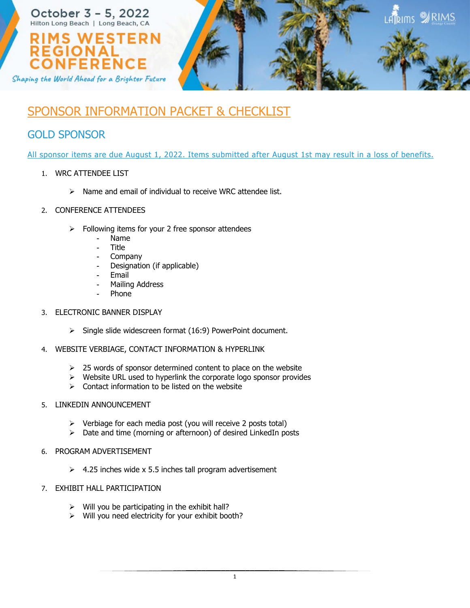

## SPONSOR INFORMATION PACKET & CHECKLIST

## GOLD SPONSOR

All sponsor items are due August 1, 2022. Items submitted after August 1st may result in a loss of benefits.

- 1. WRC ATTENDEE LIST
	- $\triangleright$  Name and email of individual to receive WRC attendee list.
- 2. CONFERENCE ATTENDEES
	- $\triangleright$  Following items for your 2 free sponsor attendees
		- Name
		- **Title**
		- Company
		- Designation (if applicable)
		- **Email**
		- Mailing Address
		- **Phone**
- 3. ELECTRONIC BANNER DISPLAY
	- $\triangleright$  Single slide widescreen format (16:9) PowerPoint document.
- 4. WEBSITE VERBIAGE, CONTACT INFORMATION & HYPERLINK
	- $\geq$  25 words of sponsor determined content to place on the website
	- $\triangleright$  Website URL used to hyperlink the corporate logo sponsor provides
	- $\triangleright$  Contact information to be listed on the website
- 5. LINKEDIN ANNOUNCEMENT
	- $\triangleright$  Verbiage for each media post (you will receive 2 posts total)
	- $\triangleright$  Date and time (morning or afternoon) of desired LinkedIn posts
- 6. PROGRAM ADVERTISEMENT
	- $\geq$  4.25 inches wide x 5.5 inches tall program advertisement
- 7. EXHIBIT HALL PARTICIPATION
	- $\triangleright$  Will you be participating in the exhibit hall?
	- $\triangleright$  Will you need electricity for your exhibit booth?